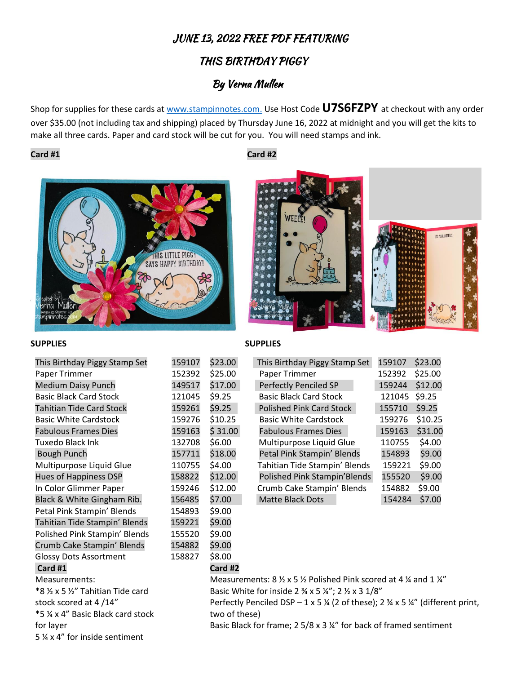# JUNE 13, 2022 FREE PDF FEATURING

# THIS BIRTHDAY PIGGY

# By Verna Mullen

Shop for supplies for these cards at [www.stampinnotes.com.](http://www.stampinnotes.com/) Use Host Code **U7S6FZPY** at checkout with any order over \$35.00 (not including tax and shipping) placed by Thursday June 16, 2022 at midnight and you will get the kits to make all three cards. Paper and card stock will be cut for you. You will need stamps and ink.

### **Card #1 Card #2**





### **SUPPLIES SUPPLIES**

| This Birthday Piggy Stamp Set   | 159107 |
|---------------------------------|--------|
| Paper Trimmer                   | 152392 |
| <b>Medium Daisy Punch</b>       | 149517 |
| <b>Basic Black Card Stock</b>   | 121045 |
| <b>Tahitian Tide Card Stock</b> | 159261 |
| <b>Basic White Cardstock</b>    | 159276 |
| <b>Fabulous Frames Dies</b>     | 159163 |
| Tuxedo Black Ink                | 132708 |
| <b>Bough Punch</b>              | 157711 |
| Multipurpose Liquid Glue        | 110755 |
| <b>Hues of Happiness DSP</b>    | 158822 |
| In Color Glimmer Paper          | 159246 |
| Black & White Gingham Rib.      | 156485 |
| Petal Pink Stampin' Blends      | 154893 |
| Tahitian Tide Stampin' Blends   | 159221 |
| Polished Pink Stampin' Blends   | 155520 |
| Crumb Cake Stampin' Blends      | 154882 |
| <b>Glossy Dots Assortment</b>   | 158827 |
| Card #1                         |        |
| Measurements:                   |        |
| *8 ½ x 5 ½" Tahitian Tide card  |        |
| stock scored at 4/14"           |        |

\$9.00 \$9.00 \$9.00 \$9.00 \$8.00 **Card #2**

| This Birthday Piggy Stamp Set | 159107 | \$23.00 | This Birthday Piggy Stamp Set   | 159107 | \$23.00 |
|-------------------------------|--------|---------|---------------------------------|--------|---------|
| Paper Trimmer                 | 152392 | \$25.00 | Paper Trimmer                   | 152392 | \$25.00 |
| <b>Medium Daisy Punch</b>     | 149517 | \$17.00 | Perfectly Penciled SP           | 159244 | \$12.00 |
| <b>Basic Black Card Stock</b> | 121045 | \$9.25  | <b>Basic Black Card Stock</b>   | 121045 | \$9.25  |
| Tahitian Tide Card Stock      | 159261 | \$9.25  | <b>Polished Pink Card Stock</b> | 155710 | \$9.25  |
| <b>Basic White Cardstock</b>  | 159276 | \$10.25 | <b>Basic White Cardstock</b>    | 159276 | \$10.25 |
| <b>Fabulous Frames Dies</b>   | 159163 | \$31.00 | <b>Fabulous Frames Dies</b>     | 159163 | \$31.00 |
| Tuxedo Black Ink              | 132708 | \$6.00  | Multipurpose Liquid Glue        | 110755 | \$4.00  |
| <b>Bough Punch</b>            | 157711 | \$18.00 | Petal Pink Stampin' Blends      | 154893 | \$9.00  |
| Multipurpose Liquid Glue      | 110755 | \$4.00  | Tahitian Tide Stampin' Blends   | 159221 | \$9.00  |
| <b>Hues of Happiness DSP</b>  | 158822 | \$12.00 | Polished Pink Stampin'Blends    | 155520 | \$9.00  |
| In Color Glimmer Paper        | 159246 | \$12.00 | Crumb Cake Stampin' Blends      | 154882 | \$9.00  |
| Black & White Gingham Rib.    | 156485 | \$7.00  | <b>Matte Black Dots</b>         | 154284 | \$7.00  |
|                               |        |         |                                 |        |         |

Measurements:  $8 \frac{1}{2} \times 5 \frac{1}{2}$  Polished Pink scored at 4  $\frac{1}{4}$  and 1  $\frac{1}{4}$ Basic White for inside 2  $\frac{3}{4}$  x 5  $\frac{1}{4}$ ; 2  $\frac{1}{2}$  x 3 1/8" Perfectly Penciled DSP – 1 x 5  $\frac{1}{4}$  (2 of these); 2  $\frac{3}{4}$  x 5  $\frac{1}{4}$ " (different print, two of these)

for layer 5 ¼ x 4" for inside sentiment

\*5 ¼ x 4" Basic Black card stock

Basic Black for frame; 2 5/8 x 3 ¼" for back of framed sentiment